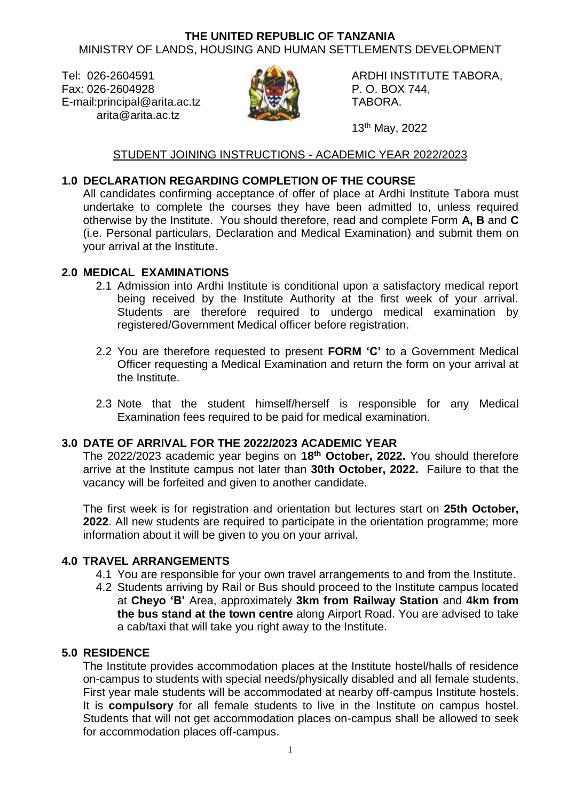#### **THE UNITED REPUBLIC OF TANZANIA** MINISTRY OF LANDS, HOUSING AND HUMAN SETTLEMENTS DEVELOPMENT

Fax: 026-2604928 P.O. BOX 744, E-mail:principal@arita.ac.tz **TABORA.** TABORA. arita@arita.ac.tz



Tel: 026-2604591 **ARDHI INSTITUTE TABORA,** 

13th May, 2022

# STUDENT JOINING INSTRUCTIONS - ACADEMIC YEAR 2022/2023

## **1.0 DECLARATION REGARDING COMPLETION OF THE COURSE**

All candidates confirming acceptance of offer of place at Ardhi Institute Tabora must undertake to complete the courses they have been admitted to, unless required otherwise by the Institute. You should therefore, read and complete Form **A, B** and **C** (i.e. Personal particulars, Declaration and Medical Examination) and submit them on your arrival at the Institute.

## **2.0 MEDICAL EXAMINATIONS**

- 2.1 Admission into Ardhi Institute is conditional upon a satisfactory medical report being received by the Institute Authority at the first week of your arrival. Students are therefore required to undergo medical examination by registered/Government Medical officer before registration.
- 2.2 You are therefore requested to present **FORM 'C'** to a Government Medical Officer requesting a Medical Examination and return the form on your arrival at the Institute.
- 2.3 Note that the student himself/herself is responsible for any Medical Examination fees required to be paid for medical examination.

## **3.0 DATE OF ARRIVAL FOR THE 2022/2023 ACADEMIC YEAR**

The 2022/2023 academic year begins on **18th October, 2022.** You should therefore arrive at the Institute campus not later than **30th October, 2022.** Failure to that the vacancy will be forfeited and given to another candidate.

The first week is for registration and orientation but lectures start on **25th October, 2022**. All new students are required to participate in the orientation programme; more information about it will be given to you on your arrival.

#### **4.0 TRAVEL ARRANGEMENTS**

- 4.1 You are responsible for your own travel arrangements to and from the Institute.
- 4.2 Students arriving by Rail or Bus should proceed to the Institute campus located at **Cheyo 'B'** Area, approximately **3km from Railway Station** and **4km from the bus stand at the town centre** along Airport Road. You are advised to take a cab/taxi that will take you right away to the Institute.

## **5.0 RESIDENCE**

The Institute provides accommodation places at the Institute hostel/halls of residence on-campus to students with special needs/physically disabled and all female students. First year male students will be accommodated at nearby off-campus Institute hostels. It is **compulsory** for all female students to live in the Institute on campus hostel. Students that will not get accommodation places on-campus shall be allowed to seek for accommodation places off-campus.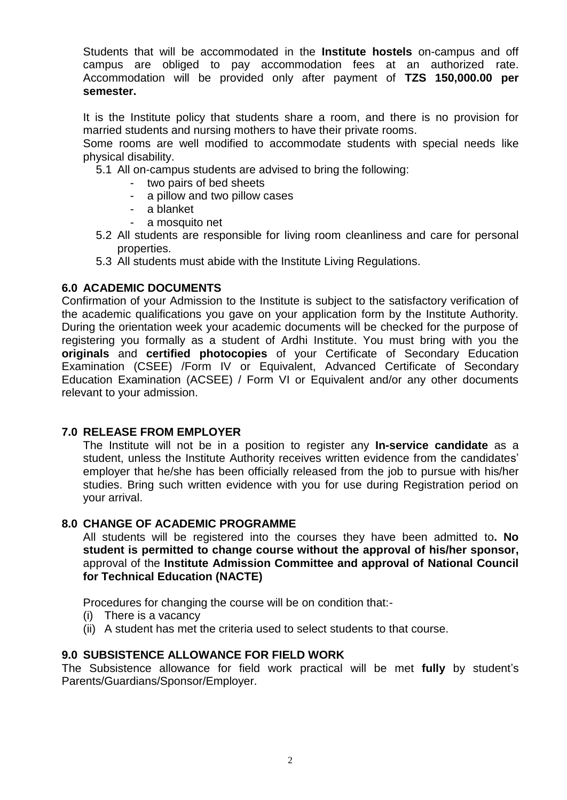Students that will be accommodated in the **Institute hostels** on-campus and off campus are obliged to pay accommodation fees at an authorized rate. Accommodation will be provided only after payment of **TZS 150,000.00 per semester.**

It is the Institute policy that students share a room, and there is no provision for married students and nursing mothers to have their private rooms.

Some rooms are well modified to accommodate students with special needs like physical disability.

5.1 All on-campus students are advised to bring the following:

- two pairs of bed sheets
- a pillow and two pillow cases
- a blanket
- a mosquito net
- 5.2 All students are responsible for living room cleanliness and care for personal properties.
- 5.3 All students must abide with the Institute Living Regulations.

#### **6.0 ACADEMIC DOCUMENTS**

Confirmation of your Admission to the Institute is subject to the satisfactory verification of the academic qualifications you gave on your application form by the Institute Authority. During the orientation week your academic documents will be checked for the purpose of registering you formally as a student of Ardhi Institute. You must bring with you the **originals** and **certified photocopies** of your Certificate of Secondary Education Examination (CSEE) /Form IV or Equivalent, Advanced Certificate of Secondary Education Examination (ACSEE) / Form VI or Equivalent and/or any other documents relevant to your admission.

#### **7.0 RELEASE FROM EMPLOYER**

The Institute will not be in a position to register any **In-service candidate** as a student, unless the Institute Authority receives written evidence from the candidates' employer that he/she has been officially released from the job to pursue with his/her studies. Bring such written evidence with you for use during Registration period on your arrival.

#### **8.0 CHANGE OF ACADEMIC PROGRAMME**

All students will be registered into the courses they have been admitted to**. No student is permitted to change course without the approval of his/her sponsor,**  approval of the **Institute Admission Committee and approval of National Council for Technical Education (NACTE)**

Procedures for changing the course will be on condition that:-

- (i) There is a vacancy
- (ii) A student has met the criteria used to select students to that course.

#### **9.0 SUBSISTENCE ALLOWANCE FOR FIELD WORK**

The Subsistence allowance for field work practical will be met **fully** by student's Parents/Guardians/Sponsor/Employer.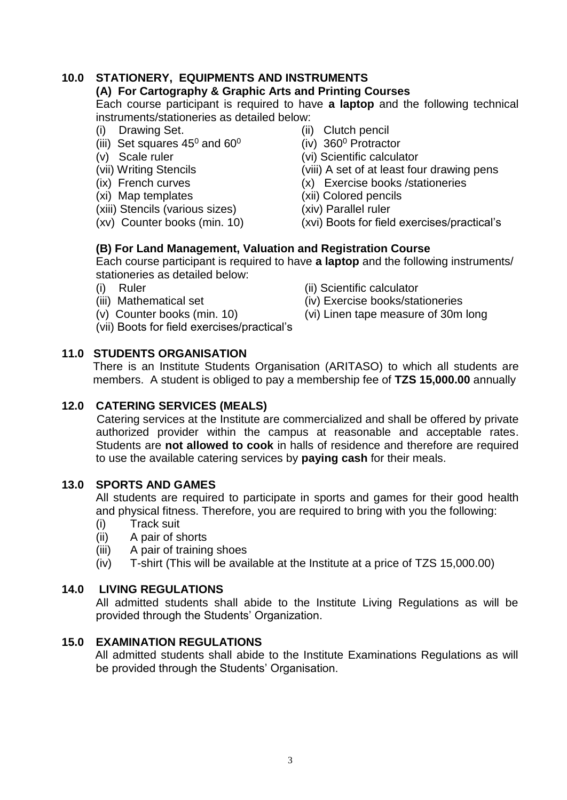## **10.0 STATIONERY, EQUIPMENTS AND INSTRUMENTS**

#### **(A) For Cartography & Graphic Arts and Printing Courses**

Each course participant is required to have **a laptop** and the following technical instruments/stationeries as detailed below:

- 
- (i) Drawing Set.  $\frac{1}{100}$  (ii) Clutch pencil<br>(iii) Set squares 45<sup>0</sup> and 60<sup>0</sup> (iv) 360<sup>0</sup> Protractor (iii) Set squares 45<sup>0</sup> and 60<sup>0</sup> (v) Scale ruler
- 
- 
- 
- 
- (xiii) Stencils (various sizes) (xiv) Parallel ruler
- 
- 
- 
- (vi) Scientific calculator
- (vii) Writing Stencils (viii) A set of at least four drawing pens
- (ix) French curves (x) Exercise books /stationeries
- (xi) Map templates (xii) Colored pencils
	-
- (xv) Counter books (min. 10) (xvi) Boots for field exercises/practical's

#### **(B) For Land Management, Valuation and Registration Course**

Each course participant is required to have **a laptop** and the following instruments/ stationeries as detailed below:

- 
- 
- 
- (vii) Boots for field exercises/practical's
- (i) Ruler (ii) Scientific calculator
- (iii) Mathematical set (iv) Exercise books/stationeries
- (v) Counter books (min. 10)  $(vi)$  Linen tape measure of 30m long

# **11.0 STUDENTS ORGANISATION**

There is an Institute Students Organisation (ARITASO) to which all students are members. A student is obliged to pay a membership fee of **TZS 15,000.00** annually

## **12.0 CATERING SERVICES (MEALS)**

Catering services at the Institute are commercialized and shall be offered by private authorized provider within the campus at reasonable and acceptable rates. Students are **not allowed to cook** in halls of residence and therefore are required to use the available catering services by **paying cash** for their meals.

## **13.0 SPORTS AND GAMES**

All students are required to participate in sports and games for their good health and physical fitness. Therefore, you are required to bring with you the following:

- (i) Track suit
- (ii) A pair of shorts
- (iii) A pair of training shoes
- (iv) T-shirt (This will be available at the Institute at a price of TZS 15,000.00)

## **14.0 LIVING REGULATIONS**

All admitted students shall abide to the Institute Living Regulations as will be provided through the Students' Organization.

## **15.0 EXAMINATION REGULATIONS**

All admitted students shall abide to the Institute Examinations Regulations as will be provided through the Students' Organisation.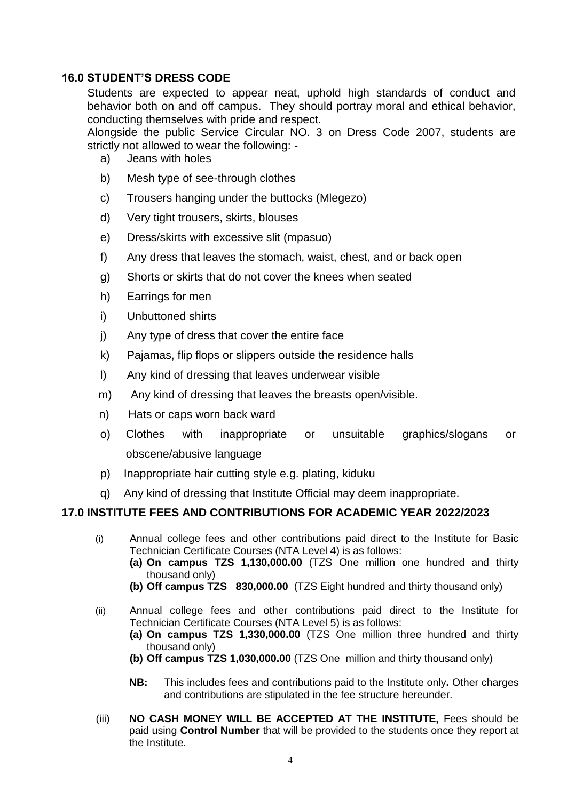## **16.0 STUDENT'S DRESS CODE**

Students are expected to appear neat, uphold high standards of conduct and behavior both on and off campus. They should portray moral and ethical behavior, conducting themselves with pride and respect.

Alongside the public Service Circular NO. 3 on Dress Code 2007, students are strictly not allowed to wear the following: -

- a) Jeans with holes
- b) Mesh type of see-through clothes
- c) Trousers hanging under the buttocks (Mlegezo)
- d) Very tight trousers, skirts, blouses
- e) Dress/skirts with excessive slit (mpasuo)
- f) Any dress that leaves the stomach, waist, chest, and or back open
- g) Shorts or skirts that do not cover the knees when seated
- h) Earrings for men
- i) Unbuttoned shirts
- j) Any type of dress that cover the entire face
- k) Pajamas, flip flops or slippers outside the residence halls
- l) Any kind of dressing that leaves underwear visible
- m) Any kind of dressing that leaves the breasts open/visible.
- n) Hats or caps worn back ward
- o) Clothes with inappropriate or unsuitable graphics/slogans or obscene/abusive language
- p) Inappropriate hair cutting style e.g. plating, kiduku
- q) Any kind of dressing that Institute Official may deem inappropriate.

## **17.0 INSTITUTE FEES AND CONTRIBUTIONS FOR ACADEMIC YEAR 2022/2023**

- (i) Annual college fees and other contributions paid direct to the Institute for Basic Technician Certificate Courses (NTA Level 4) is as follows: **(a) On campus TZS 1,130,000.00** (TZS One million one hundred and thirty thousand only)
	- **(b) Off campus TZS 830,000.00** (TZS Eight hundred and thirty thousand only)
- (ii) Annual college fees and other contributions paid direct to the Institute for Technician Certificate Courses (NTA Level 5) is as follows:
	- **(a) On campus TZS 1,330,000.00** (TZS One million three hundred and thirty thousand only)
	- **(b) Off campus TZS 1,030,000.00** (TZS One million and thirty thousand only)
	- **NB:** This includes fees and contributions paid to the Institute only**.** Other charges and contributions are stipulated in the fee structure hereunder.
- (iii) **NO CASH MONEY WILL BE ACCEPTED AT THE INSTITUTE,** Fees should be paid using **Control Number** that will be provided to the students once they report at the Institute.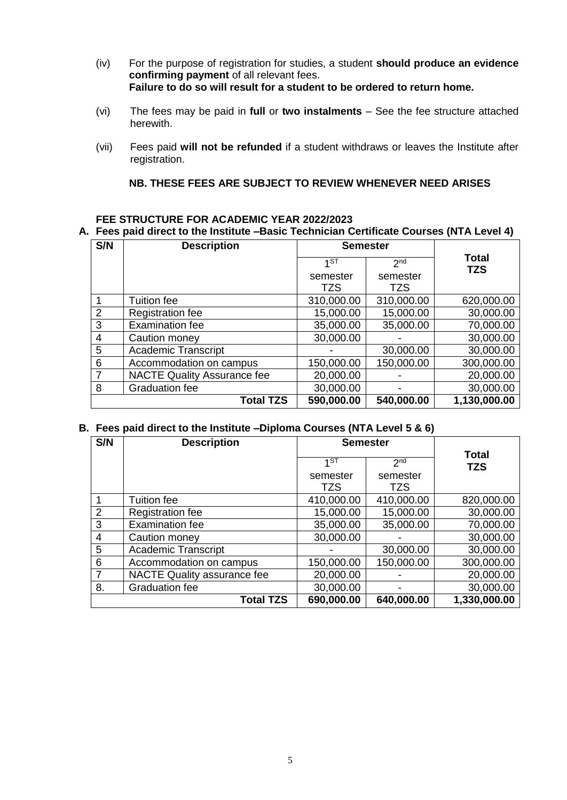- (iv) For the purpose of registration for studies, a student **should produce an evidence confirming payment** of all relevant fees. **Failure to do so will result for a student to be ordered to return home.**
- (vi) The fees may be paid in **full** or **two instalments** See the fee structure attached herewith.
- (vii) Fees paid **will not be refunded** if a student withdraws or leaves the Institute after registration.

#### **NB. THESE FEES ARE SUBJECT TO REVIEW WHENEVER NEED ARISES**

#### **FEE STRUCTURE FOR ACADEMIC YEAR 2022/2023**

#### **A. Fees paid direct to the Institute –Basic Technician Certificate Courses (NTA Level 4)**

| S/N | <b>Description</b>                 | <b>Semester</b> |                 |                            |  |
|-----|------------------------------------|-----------------|-----------------|----------------------------|--|
|     |                                    | 1 <sub>5</sub>  | 2 <sub>nd</sub> | <b>Total</b><br><b>TZS</b> |  |
|     |                                    | semester        | semester        |                            |  |
|     |                                    | TZS             | TZS             |                            |  |
|     | Tuition fee                        | 310,000.00      | 310,000.00      | 620,000.00                 |  |
| 2   | Registration fee                   | 15,000.00       | 15,000.00       | 30,000.00                  |  |
| 3   | <b>Examination fee</b>             | 35,000.00       | 35,000.00       | 70,000.00                  |  |
| 4   | Caution money                      | 30,000.00       |                 | 30,000.00                  |  |
| 5   | <b>Academic Transcript</b>         |                 | 30,000.00       | 30,000.00                  |  |
| 6   | Accommodation on campus            | 150,000.00      | 150,000.00      | 300,000.00                 |  |
|     | <b>NACTE Quality Assurance fee</b> | 20,000.00       |                 | 20,000.00                  |  |
| 8   | <b>Graduation fee</b>              | 30,000.00       |                 | 30,000.00                  |  |
|     | <b>Total TZS</b>                   | 590,000.00      | 540,000.00      | 1,130,000.00               |  |

#### **B. Fees paid direct to the Institute –Diploma Courses (NTA Level 5 & 6)**

| S/N            | <b>Description</b>                 | <b>Semester</b> |                 |                            |
|----------------|------------------------------------|-----------------|-----------------|----------------------------|
|                |                                    | 1 <sub>5</sub>  | 2 <sub>nd</sub> | <b>Total</b><br><b>TZS</b> |
|                |                                    | semester<br>TZS | semester<br>TZS |                            |
|                | Tuition fee                        | 410,000.00      | 410,000.00      | 820,000.00                 |
| $\overline{2}$ | Registration fee                   | 15,000.00       | 15,000.00       | 30,000.00                  |
| 3              | <b>Examination fee</b>             | 35,000.00       | 35,000.00       | 70,000.00                  |
| 4              | Caution money                      | 30,000.00       |                 | 30,000.00                  |
| 5              | <b>Academic Transcript</b>         |                 | 30,000.00       | 30,000.00                  |
| 6              | Accommodation on campus            | 150,000.00      | 150,000.00      | 300,000.00                 |
|                | <b>NACTE Quality assurance fee</b> | 20,000.00       |                 | 20,000.00                  |
| 8.             | Graduation fee                     | 30,000.00       |                 | 30,000.00                  |
|                | <b>Total TZS</b>                   | 690,000.00      | 640,000.00      | 1,330,000.00               |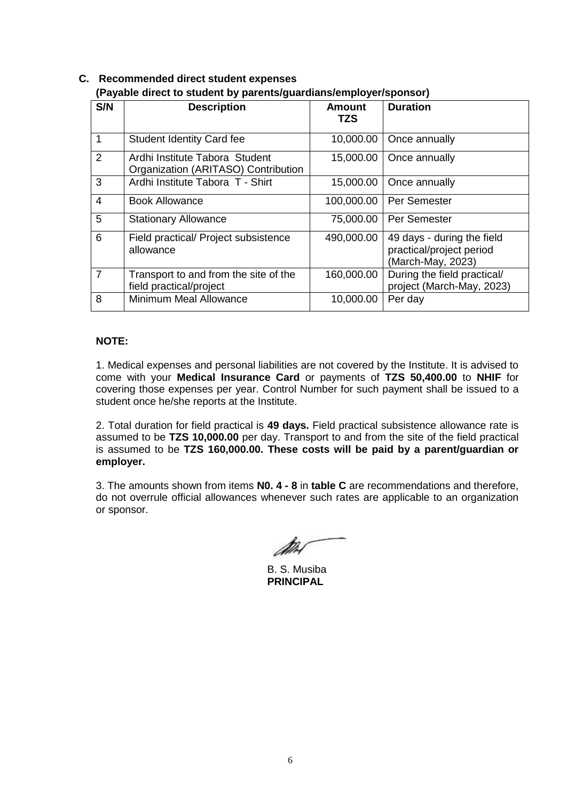| S/N            | <b>Description</b>                                                    | <b>Amount</b> | <b>Duration</b>                                                             |
|----------------|-----------------------------------------------------------------------|---------------|-----------------------------------------------------------------------------|
|                |                                                                       | <b>TZS</b>    |                                                                             |
| 1              | <b>Student Identity Card fee</b>                                      | 10,000.00     | Once annually                                                               |
| $\overline{2}$ | Ardhi Institute Tabora Student<br>Organization (ARITASO) Contribution | 15,000.00     | Once annually                                                               |
| 3              | Ardhi Institute Tabora T - Shirt                                      | 15,000.00     | Once annually                                                               |
| $\overline{4}$ | <b>Book Allowance</b>                                                 | 100,000.00    | Per Semester                                                                |
| 5              | <b>Stationary Allowance</b>                                           | 75,000.00     | Per Semester                                                                |
| 6              | Field practical/ Project subsistence<br>allowance                     | 490,000.00    | 49 days - during the field<br>practical/project period<br>(March-May, 2023) |
| $\overline{7}$ | Transport to and from the site of the<br>field practical/project      | 160,000.00    | During the field practical/<br>project (March-May, 2023)                    |
| 8              | Minimum Meal Allowance                                                | 10,000.00     | Per day                                                                     |

#### **C. Recommended direct student expenses (Payable direct to student by parents/guardians/employer/sponsor)**

#### **NOTE:**

1. Medical expenses and personal liabilities are not covered by the Institute. It is advised to come with your **Medical Insurance Card** or payments of **TZS 50,400.00** to **NHIF** for covering those expenses per year. Control Number for such payment shall be issued to a student once he/she reports at the Institute.

2. Total duration for field practical is **49 days.** Field practical subsistence allowance rate is assumed to be **TZS 10,000.00** per day. Transport to and from the site of the field practical is assumed to be **TZS 160,000.00. These costs will be paid by a parent/guardian or employer.**

3. The amounts shown from items **N0. 4 - 8** in **table C** are recommendations and therefore, do not overrule official allowances whenever such rates are applicable to an organization or sponsor.

B. S. Musiba **PRINCIPAL**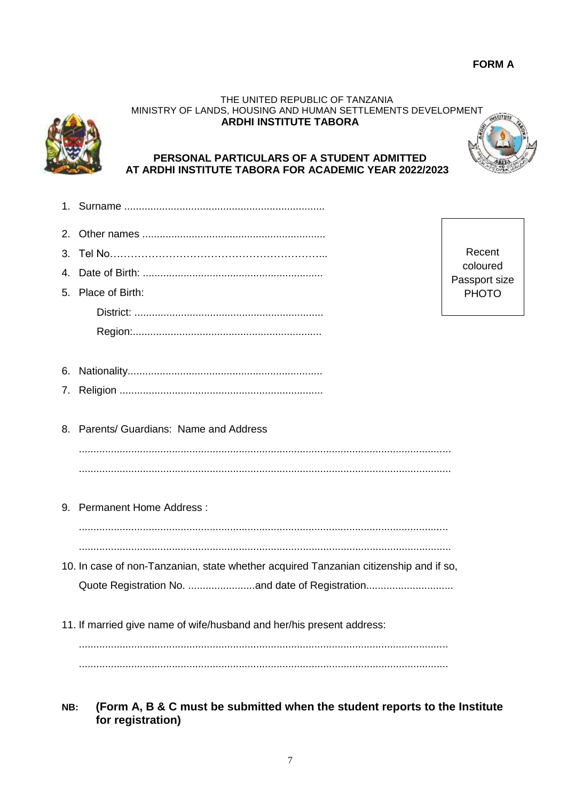#### THE UNITED REPUBLIC OF TANZANIA MINISTRY OF LANDS, HOUSING AND HUMAN SETTLEMENTS DEVELOPMENT **ARDHI INSTITUTE TABORA**



## **PERSONAL PARTICULARS OF A STUDENT ADMITTED AT ARDHI INSTITUTE TABORA FOR ACADEMIC YEAR 2022/2023**

- 1. Surname ..................................................................... 2. Other names ...............................................................
- 3. Tel No……………………………………………………... 4. Date of Birth: ..............................................................
- 5. Place of Birth: District: ................................................................. Region:.................................................................

Recent coloured Passport size PHOTO

- 6. Nationality................................................................... 7. Religion ......................................................................
- 8. Parents/ Guardians: Name and Address ................................................................................................................................ ................................................................................................................................
- 9. Permanent Home Address :

............................................................................................................................... ................................................................................................................................

- 10. In case of non-Tanzanian, state whether acquired Tanzanian citizenship and if so, Quote Registration No. .......................and date of Registration..............................
- 11. If married give name of wife/husband and her/his present address:

............................................................................................................................... ...............................................................................................................................

**NB: (Form A, B & C must be submitted when the student reports to the Institute for registration)**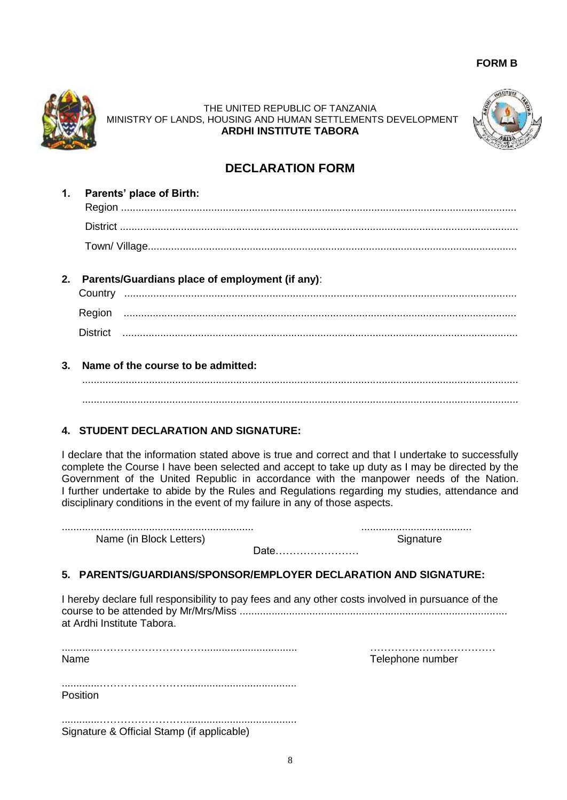#### **FORM B**



THE UNITED REPUBLIC OF TANZANIA MINISTRY OF LANDS, HOUSING AND HUMAN SETTLEMENTS DEVELOPMENT **ARDHI INSTITUTE TABORA**



# **DECLARATION FORM**

- **1. Parents' place of Birth:** Region ........................................................................................................................................ District ......................................................................................................................................... Town/ Village...............................................................................................................................
- **2. Parents/Guardians place of employment (if any)**:

| Country         |  |
|-----------------|--|
| Region          |  |
| <b>District</b> |  |

**3. Name of the course to be admitted:**

 ...................................................................................................................................................... ......................................................................................................................................................

# **4. STUDENT DECLARATION AND SIGNATURE:**

I declare that the information stated above is true and correct and that I undertake to successfully complete the Course I have been selected and accept to take up duty as I may be directed by the Government of the United Republic in accordance with the manpower needs of the Nation. I further undertake to abide by the Rules and Regulations regarding my studies, attendance and disciplinary conditions in the event of my failure in any of those aspects.

.................................................................. ...................................... Name (in Block Letters) Name (in Block Letters)

Date……………………

#### **5. PARENTS/GUARDIANS/SPONSOR/EMPLOYER DECLARATION AND SIGNATURE:**

I hereby declare full responsibility to pay fees and any other costs involved in pursuance of the course to be attended by Mr/Mrs/Miss ............................................................................................ at Ardhi Institute Tabora.

.............…………………………................................ ……………………………… Name **Name** Telephone number

.............……………………....................................... Position

.............……………………....................................... Signature & Official Stamp (if applicable)